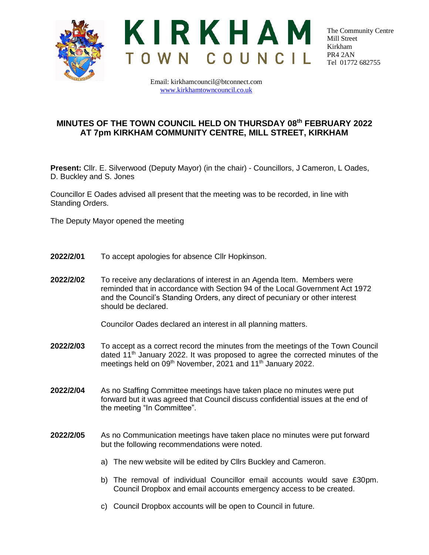



The Community Centre Mill Street Kirkham PR4 2AN Tel 01772 682755

Email: kirkhamcouncil@btconnect.com [www.kirkhamtowncouncil.co.uk](http://www.kirkhamtowncouncil.co.uk/)

## **MINUTES OF THE TOWN COUNCIL HELD ON THURSDAY 08th FEBRUARY 2022 AT 7pm KIRKHAM COMMUNITY CENTRE, MILL STREET, KIRKHAM**

**Present:** Cllr. E. Silverwood (Deputy Mayor) (in the chair) - Councillors, J Cameron, L Oades, D. Buckley and S. Jones

Councillor E Oades advised all present that the meeting was to be recorded, in line with Standing Orders.

The Deputy Mayor opened the meeting

- **2022/2/01** To accept apologies for absence Cllr Hopkinson.
- **2022/2/02** To receive any declarations of interest in an Agenda Item. Members were reminded that in accordance with Section 94 of the Local Government Act 1972 and the Council's Standing Orders, any direct of pecuniary or other interest should be declared.

Councilor Oades declared an interest in all planning matters.

- **2022/2/03** To accept as a correct record the minutes from the meetings of the Town Council dated 11th January 2022. It was proposed to agree the corrected minutes of the meetings held on 09<sup>th</sup> November, 2021 and 11<sup>th</sup> January 2022.
- **2022/2/04** As no Staffing Committee meetings have taken place no minutes were put forward but it was agreed that Council discuss confidential issues at the end of the meeting "In Committee".
- **2022/2/05** As no Communication meetings have taken place no minutes were put forward but the following recommendations were noted.
	- a) The new website will be edited by Cllrs Buckley and Cameron.
	- b) The removal of individual Councillor email accounts would save £30pm. Council Dropbox and email accounts emergency access to be created.
	- c) Council Dropbox accounts will be open to Council in future.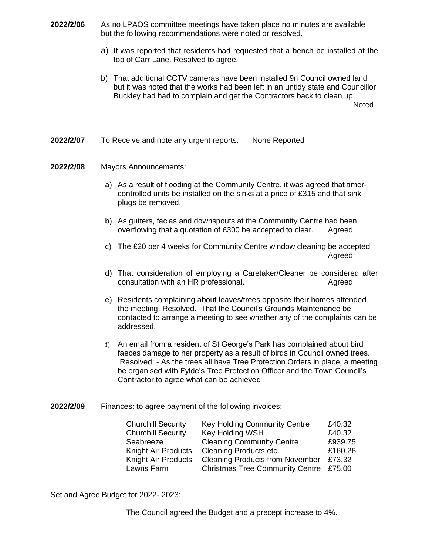- **2022/2/06** As no LPAOS committee meetings have taken place no minutes are available but the following recommendations were noted or resolved.
	- a) It was reported that residents had requested that a bench be installed at the top of Carr Lane. Resolved to agree.
	- b) That additional CCTV cameras have been installed 9n Council owned land but it was noted that the works had been left in an untidy state and Councillor Buckley had had to complain and get the Contractors back to clean up. Noted.
- **2022/2/07** To Receive and note any urgent reports: None Reported

## **2022/2/08** Mayors Announcements:

- a) As a result of flooding at the Community Centre, it was agreed that timercontrolled units be installed on the sinks at a price of £315 and that sink plugs be removed.
- b) As gutters, facias and downspouts at the Community Centre had been overflowing that a quotation of £300 be accepted to clear. Agreed.
- c) The £20 per 4 weeks for Community Centre window cleaning be accepted Agreed
- d) That consideration of employing a Caretaker/Cleaner be considered after consultation with an HR professional. Agreed
- e) Residents complaining about leaves/trees opposite their homes attended the meeting. Resolved. That the Council's Grounds Maintenance be contacted to arrange a meeting to see whether any of the complaints can be addressed.
- f) An email from a resident of St George's Park has complained about bird faeces damage to her property as a result of birds in Council owned trees. Resolved: - As the trees all have Tree Protection Orders in place, a meeting be organised with Fylde's Tree Protection Officer and the Town Council's Contractor to agree what can be achieved
- **2022/2/09** Finances: to agree payment of the following invoices:

| <b>Key Holding Community Centre</b>    | £40.32  |
|----------------------------------------|---------|
| Key Holding WSH                        | £40.32  |
| <b>Cleaning Community Centre</b>       | £939.75 |
| Cleaning Products etc.                 | £160.26 |
| <b>Cleaning Products from November</b> | £73.32  |
| Christmas Tree Community Centre £75.00 |         |
|                                        |         |

Set and Agree Budget for 2022- 2023:

The Council agreed the Budget and a precept increase to 4%.